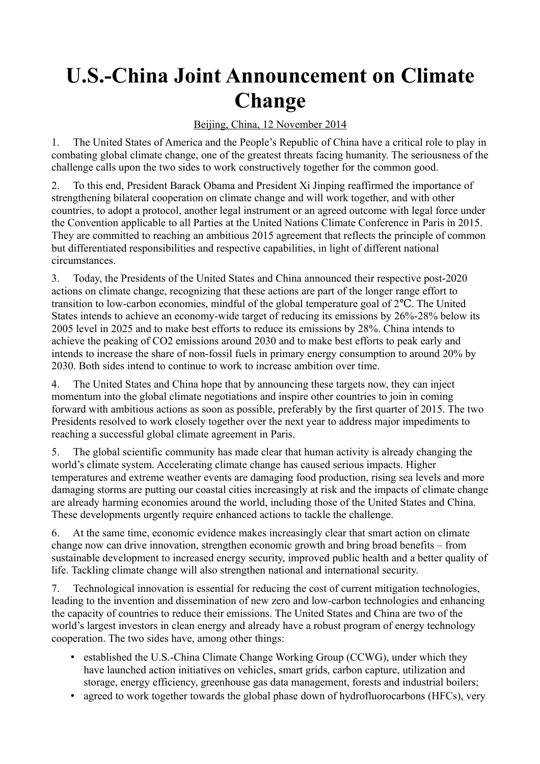## **U.S.-China Joint Announcement on Climate Change**

## Beijing, China, 12 November 2014

1. The United States of America and the People's Republic of China have a critical role to play in combating global climate change, one of the greatest threats facing humanity. The seriousness of the challenge calls upon the two sides to work constructively together for the common good.

2. To this end, President Barack Obama and President Xi Jinping reaffirmed the importance of strengthening bilateral cooperation on climate change and will work together, and with other countries, to adopt a protocol, another legal instrument or an agreed outcome with legal force under the Convention applicable to all Parties at the United Nations Climate Conference in Paris in 2015. They are committed to reaching an ambitious 2015 agreement that reflects the principle of common but differentiated responsibilities and respective capabilities, in light of different national circumstances.

3. Today, the Presidents of the United States and China announced their respective post-2020 actions on climate change, recognizing that these actions are part of the longer range effort to transition to low-carbon economies, mindful of the global temperature goal of  $2^{\circ}C$ . The United States intends to achieve an economy-wide target of reducing its emissions by 26%-28% below its 2005 level in 2025 and to make best efforts to reduce its emissions by 28%. China intends to achieve the peaking of CO2 emissions around 2030 and to make best efforts to peak early and intends to increase the share of non-fossil fuels in primary energy consumption to around 20% by 2030. Both sides intend to continue to work to increase ambition over time.

4. The United States and China hope that by announcing these targets now, they can inject momentum into the global climate negotiations and inspire other countries to join in coming forward with ambitious actions as soon as possible, preferably by the first quarter of 2015. The two Presidents resolved to work closely together over the next year to address major impediments to reaching a successful global climate agreement in Paris.

5. The global scientific community has made clear that human activity is already changing the world's climate system. Accelerating climate change has caused serious impacts. Higher temperatures and extreme weather events are damaging food production, rising sea levels and more damaging storms are putting our coastal cities increasingly at risk and the impacts of climate change are already harming economies around the world, including those of the United States and China. These developments urgently require enhanced actions to tackle the challenge.

6. At the same time, economic evidence makes increasingly clear that smart action on climate change now can drive innovation, strengthen economic growth and bring broad benefits – from sustainable development to increased energy security, improved public health and a better quality of life. Tackling climate change will also strengthen national and international security.

7. Technological innovation is essential for reducing the cost of current mitigation technologies, leading to the invention and dissemination of new zero and low-carbon technologies and enhancing the capacity of countries to reduce their emissions. The United States and China are two of the world's largest investors in clean energy and already have a robust program of energy technology cooperation. The two sides have, among other things:

- established the U.S.-China Climate Change Working Group (CCWG), under which they have launched action initiatives on vehicles, smart grids, carbon capture, utilization and storage, energy efficiency, greenhouse gas data management, forests and industrial boilers;
- agreed to work together towards the global phase down of hydrofluorocarbons (HFCs), very